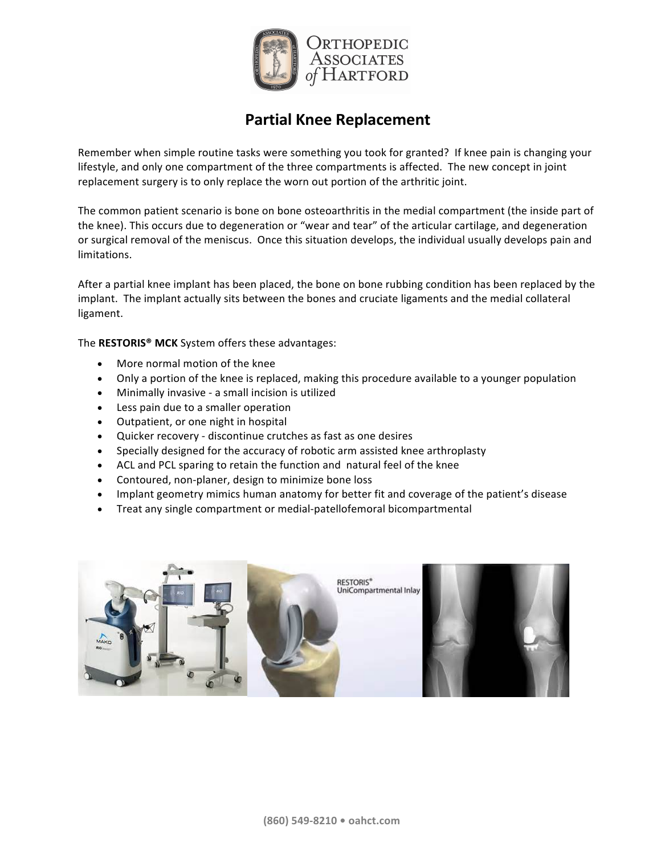

# **Partial Knee Replacement**

Remember when simple routine tasks were something you took for granted? If knee pain is changing your lifestyle, and only one compartment of the three compartments is affected. The new concept in joint replacement surgery is to only replace the worn out portion of the arthritic joint.

The common patient scenario is bone on bone osteoarthritis in the medial compartment (the inside part of the knee). This occurs due to degeneration or "wear and tear" of the articular cartilage, and degeneration or surgical removal of the meniscus. Once this situation develops, the individual usually develops pain and limitations.

After a partial knee implant has been placed, the bone on bone rubbing condition has been replaced by the implant. The implant actually sits between the bones and cruciate ligaments and the medial collateral ligament. 

The RESTORIS<sup>®</sup> MCK System offers these advantages:

- More normal motion of the knee
- Only a portion of the knee is replaced, making this procedure available to a younger population
- Minimally invasive a small incision is utilized
- Less pain due to a smaller operation
- Outpatient, or one night in hospital
- Quicker recovery discontinue crutches as fast as one desires
- Specially designed for the accuracy of robotic arm assisted knee arthroplasty
- ACL and PCL sparing to retain the function and natural feel of the knee
- Contoured, non-planer, design to minimize bone loss
- Implant geometry mimics human anatomy for better fit and coverage of the patient's disease
- Treat any single compartment or medial-patellofemoral bicompartmental

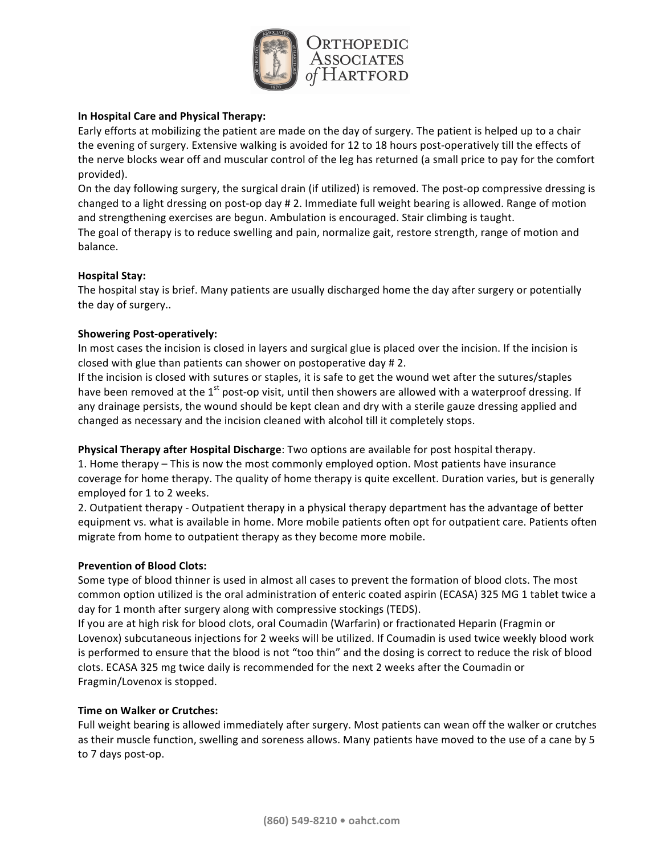

## **In Hospital Care and Physical Therapy:**

Early efforts at mobilizing the patient are made on the day of surgery. The patient is helped up to a chair the evening of surgery. Extensive walking is avoided for 12 to 18 hours post-operatively till the effects of the nerve blocks wear off and muscular control of the leg has returned (a small price to pay for the comfort provided).

On the day following surgery, the surgical drain (if utilized) is removed. The post-op compressive dressing is changed to a light dressing on post-op day # 2. Immediate full weight bearing is allowed. Range of motion and strengthening exercises are begun. Ambulation is encouraged. Stair climbing is taught. The goal of therapy is to reduce swelling and pain, normalize gait, restore strength, range of motion and balance.

## **Hospital Stay:**

The hospital stay is brief. Many patients are usually discharged home the day after surgery or potentially the day of surgery..

#### **Showering Post-operatively:**

In most cases the incision is closed in layers and surgical glue is placed over the incision. If the incision is closed with glue than patients can shower on postoperative day  $\# 2$ .

If the incision is closed with sutures or staples, it is safe to get the wound wet after the sutures/staples have been removed at the 1<sup>st</sup> post-op visit, until then showers are allowed with a waterproof dressing. If any drainage persists, the wound should be kept clean and dry with a sterile gauze dressing applied and changed as necessary and the incision cleaned with alcohol till it completely stops.

**Physical Therapy after Hospital Discharge**: Two options are available for post hospital therapy.

1. Home therapy – This is now the most commonly employed option. Most patients have insurance coverage for home therapy. The quality of home therapy is quite excellent. Duration varies, but is generally employed for 1 to 2 weeks.

2. Outpatient therapy - Outpatient therapy in a physical therapy department has the advantage of better equipment vs. what is available in home. More mobile patients often opt for outpatient care. Patients often migrate from home to outpatient therapy as they become more mobile.

## **Prevention of Blood Clots:**

Some type of blood thinner is used in almost all cases to prevent the formation of blood clots. The most common option utilized is the oral administration of enteric coated aspirin (ECASA) 325 MG 1 tablet twice a day for 1 month after surgery along with compressive stockings (TEDS).

If you are at high risk for blood clots, oral Coumadin (Warfarin) or fractionated Heparin (Fragmin or Lovenox) subcutaneous injections for 2 weeks will be utilized. If Coumadin is used twice weekly blood work is performed to ensure that the blood is not "too thin" and the dosing is correct to reduce the risk of blood clots. ECASA 325 mg twice daily is recommended for the next 2 weeks after the Coumadin or Fragmin/Lovenox is stopped.

## **Time on Walker or Crutches:**

Full weight bearing is allowed immediately after surgery. Most patients can wean off the walker or crutches as their muscle function, swelling and soreness allows. Many patients have moved to the use of a cane by 5 to 7 days post-op.